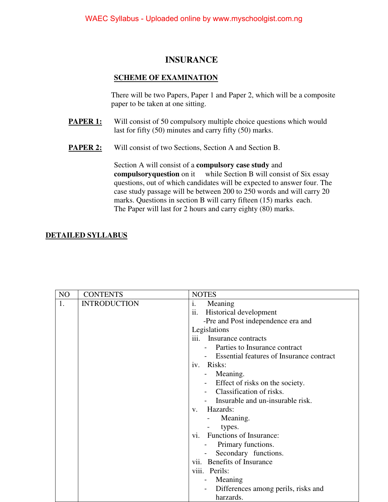# **INSURANCE**

#### **SCHEME OF EXAMINATION**

There will be two Papers, Paper 1 and Paper 2, which will be a composite paper to be taken at one sitting.

- **PAPER 1:** Will consist of 50 compulsory multiple choice questions which would last for fifty (50) minutes and carry fifty (50) marks.
- **PAPER 2:** Will consist of two Sections, Section A and Section B.

Section A will consist of a **compulsory case study** and **compulsoryquestion** on it while Section B will consist of Six essay questions, out of which candidates will be expected to answer four. The case study passage will be between 200 to 250 words and will carry 20 marks. Questions in section B will carry fifteen (15) marks each. The Paper will last for 2 hours and carry eighty (80) marks.

### **DETAILED SYLLABUS**

| NO | <b>CONTENTS</b>     | <b>NOTES</b>                                          |
|----|---------------------|-------------------------------------------------------|
| 1. | <b>INTRODUCTION</b> | $\mathbf{i}$ .<br>Meaning                             |
|    |                     | ii. Historical development                            |
|    |                     | -Pre and Post independence era and                    |
|    |                     | Legislations                                          |
|    |                     | Insurance contracts<br>$\overline{111}$ .             |
|    |                     | - Parties to Insurance contract                       |
|    |                     | - Essential features of Insurance contract            |
|    |                     | iv. Risks:                                            |
|    |                     | - Meaning.                                            |
|    |                     | - Effect of risks on the society.                     |
|    |                     | - Classification of risks.                            |
|    |                     | Insurable and un-insurable risk.                      |
|    |                     | Hazards:<br>$V_{\star}$                               |
|    |                     | Meaning.                                              |
|    |                     | types.<br>$\sim$                                      |
|    |                     | Functions of Insurance:<br>$\overline{\mathbf{v}}$ .  |
|    |                     | Primary functions.                                    |
|    |                     | Secondary functions.                                  |
|    |                     | vii. Benefits of Insurance                            |
|    |                     | viii. Perils:                                         |
|    |                     | - Meaning                                             |
|    |                     | Differences among perils, risks and<br>$\blacksquare$ |
|    |                     | harzards.                                             |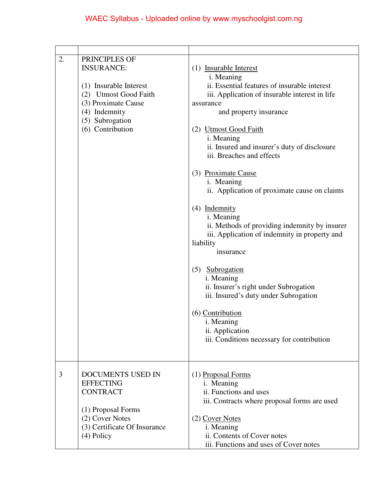| 2. | PRINCIPLES OF<br><b>INSURANCE:</b><br>(1) Insurable Interest<br>(2) Utmost Good Faith<br>(3) Proximate Cause<br>(4) Indemnity<br>(5) Subrogation<br>(6) Contribution | (1) Insurable Interest<br>i. Meaning<br>ii. Essential features of insurable interest<br>iii. Application of insurable interest in life<br>assurance<br>and property insurance<br>(2) Utmost Good Faith<br>i. Meaning<br>ii. Insured and insurer's duty of disclosure<br>iii. Breaches and effects<br>(3) Proximate Cause<br>i. Meaning<br>ii. Application of proximate cause on claims<br>$(4)$ Indemnity<br>i. Meaning<br>ii. Methods of providing indemnity by insurer<br>iii. Application of indemnity in property and<br>liability<br>insurance<br>$(5)$ Subrogation<br>i. Meaning<br>ii. Insurer's right under Subrogation<br>iii. Insured's duty under Subrogation<br>(6) Contribution<br>i. Meaning<br>ii. Application<br>iii. Conditions necessary for contribution |
|----|----------------------------------------------------------------------------------------------------------------------------------------------------------------------|-----------------------------------------------------------------------------------------------------------------------------------------------------------------------------------------------------------------------------------------------------------------------------------------------------------------------------------------------------------------------------------------------------------------------------------------------------------------------------------------------------------------------------------------------------------------------------------------------------------------------------------------------------------------------------------------------------------------------------------------------------------------------------|
| 3  | <b>DOCUMENTS USED IN</b><br><b>EFFECTING</b><br><b>CONTRACT</b><br>(1) Proposal Forms<br>(2) Cover Notes<br>(3) Certificate Of Insurance<br>$(4)$ Policy             | (1) Proposal Forms<br>i. Meaning<br>ii. Functions and uses<br>iii. Contracts where proposal forms are used<br>(2) Cover Notes<br>i. Meaning<br>ii. Contents of Cover notes<br>iii. Functions and uses of Cover notes                                                                                                                                                                                                                                                                                                                                                                                                                                                                                                                                                        |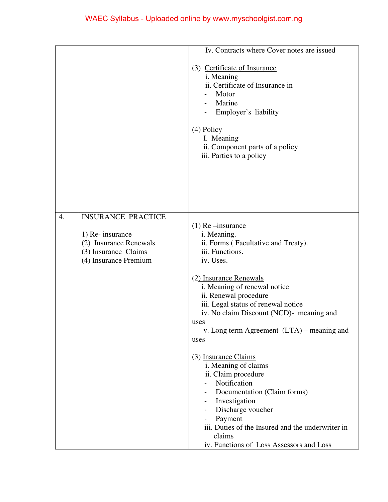|    |                                                                                                                          | Iv. Contracts where Cover notes are issued                                                                                                                                                                                                                                                                                                                                                                                                                                                                                                                                                                                         |
|----|--------------------------------------------------------------------------------------------------------------------------|------------------------------------------------------------------------------------------------------------------------------------------------------------------------------------------------------------------------------------------------------------------------------------------------------------------------------------------------------------------------------------------------------------------------------------------------------------------------------------------------------------------------------------------------------------------------------------------------------------------------------------|
|    |                                                                                                                          | (3) Certificate of Insurance<br>i. Meaning<br>ii. Certificate of Insurance in<br>Motor<br>Marine<br>Employer's liability<br>$(4)$ Policy<br>I. Meaning<br>ii. Component parts of a policy<br>iii. Parties to a policy                                                                                                                                                                                                                                                                                                                                                                                                              |
| 4. | <b>INSURANCE PRACTICE</b><br>1) Re- insurance<br>(2) Insurance Renewals<br>(3) Insurance Claims<br>(4) Insurance Premium | $(1)$ Re $-$ insurance<br>i. Meaning.<br>ii. Forms (Facultative and Treaty).<br>iii. Functions.<br>iv. Uses.<br>(2) Insurance Renewals<br>i. Meaning of renewal notice<br>ii. Renewal procedure<br>iii. Legal status of renewal notice<br>iv. No claim Discount (NCD)- meaning and<br>uses<br>v. Long term Agreement (LTA) – meaning and<br>uses<br>(3) Insurance Claims<br>i. Meaning of claims<br>ii. Claim procedure<br>Notification<br>Documentation (Claim forms)<br>Investigation<br>Discharge voucher<br>Payment<br>iii. Duties of the Insured and the underwriter in<br>claims<br>iv. Functions of Loss Assessors and Loss |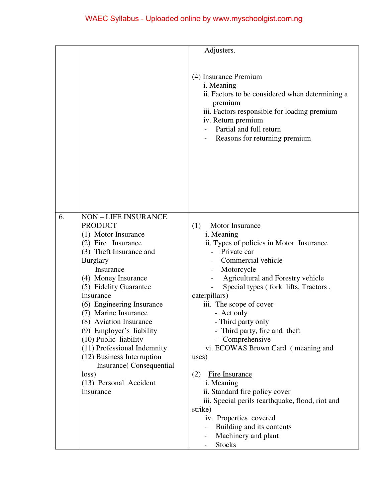|    |                                                                                                                                                                                                                                                                                                                                                                                                                                                                                                         | Adjusters.                                                                                                                                                                                                                                                                                                                                                                                                                                                                                                                                                                                                                                                          |
|----|---------------------------------------------------------------------------------------------------------------------------------------------------------------------------------------------------------------------------------------------------------------------------------------------------------------------------------------------------------------------------------------------------------------------------------------------------------------------------------------------------------|---------------------------------------------------------------------------------------------------------------------------------------------------------------------------------------------------------------------------------------------------------------------------------------------------------------------------------------------------------------------------------------------------------------------------------------------------------------------------------------------------------------------------------------------------------------------------------------------------------------------------------------------------------------------|
|    |                                                                                                                                                                                                                                                                                                                                                                                                                                                                                                         |                                                                                                                                                                                                                                                                                                                                                                                                                                                                                                                                                                                                                                                                     |
|    |                                                                                                                                                                                                                                                                                                                                                                                                                                                                                                         | (4) Insurance Premium<br>i. Meaning<br>ii. Factors to be considered when determining a<br>premium<br>iii. Factors responsible for loading premium<br>iv. Return premium<br>Partial and full return<br>Reasons for returning premium                                                                                                                                                                                                                                                                                                                                                                                                                                 |
|    |                                                                                                                                                                                                                                                                                                                                                                                                                                                                                                         |                                                                                                                                                                                                                                                                                                                                                                                                                                                                                                                                                                                                                                                                     |
| 6. | <b>NON - LIFE INSURANCE</b><br><b>PRODUCT</b><br>(1) Motor Insurance<br>(2) Fire Insurance<br>(3) Theft Insurance and<br><b>Burglary</b><br>Insurance<br>(4) Money Insurance<br>(5) Fidelity Guarantee<br>Insurance<br>(6) Engineering Insurance<br>(7) Marine Insurance<br>(8) Aviation Insurance<br>(9) Employer's liability<br>(10) Public liability<br>(11) Professional Indemnity<br>(12) Business Interruption<br><b>Insurance</b> (Consequential<br>loss)<br>(13) Personal Accident<br>Insurance | <b>Motor Insurance</b><br>(1)<br>i. Meaning<br>ii. Types of policies in Motor Insurance<br>Private car<br>Commercial vehicle<br>Motorcycle<br>Agricultural and Forestry vehicle<br>Special types (fork lifts, Tractors,<br>caterpillars)<br>iii. The scope of cover<br>- Act only<br>- Third party only<br>- Third party, fire and theft<br>- Comprehensive<br>vi. ECOWAS Brown Card (meaning and<br>uses)<br>Fire Insurance<br>(2)<br>i. Meaning<br>ii. Standard fire policy cover<br>iii. Special perils (earthquake, flood, riot and<br>strike)<br>iv. Properties covered<br>Building and its contents<br>Machinery and plant<br>$\blacksquare$<br><b>Stocks</b> |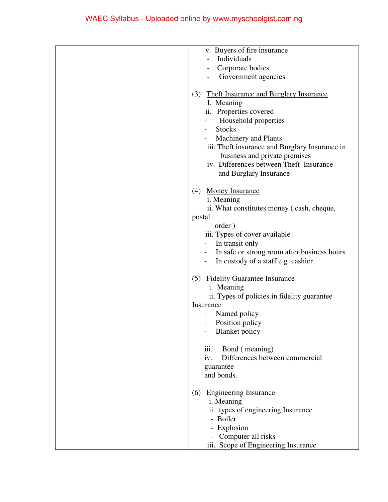| v. Buyers of fire insurance                          |
|------------------------------------------------------|
| Individuals                                          |
| Corporate bodies                                     |
| Government agencies                                  |
|                                                      |
| <b>Theft Insurance and Burglary Insurance</b><br>(3) |
| I. Meaning                                           |
| ii. Properties covered                               |
|                                                      |
| Household properties                                 |
| <b>Stocks</b>                                        |
| Machinery and Plants                                 |
| iii. Theft insurance and Burglary Insurance in       |
| business and private premises                        |
| iv. Differences between Theft Insurance              |
| and Burglary Insurance                               |
|                                                      |
| (4) Money Insurance                                  |
| i. Meaning                                           |
| ii. What constitutes money (cash, cheque,            |
|                                                      |
| postal                                               |
| order)                                               |
| iii. Types of cover available                        |
| In transit only                                      |
| - In safe or strong room after business hours        |
| In custody of a staff e g cashier                    |
|                                                      |
| (5) Fidelity Guarantee Insurance                     |
| i. Meaning                                           |
| ii. Types of policies in fidelity guarantee          |
| Insurance                                            |
| Named policy                                         |
| Position policy                                      |
|                                                      |
| <b>Blanket</b> policy                                |
|                                                      |
| iii.<br>Bond (meaning)                               |
| Differences between commercial<br>iv.                |
| guarantee                                            |
| and bonds.                                           |
|                                                      |
| <b>Engineering Insurance</b><br>(6)                  |
| i. Meaning                                           |
| ii. types of engineering Insurance                   |
| - Boiler                                             |
| - Explosion                                          |
| Computer all risks                                   |
| iii. Scope of Engineering Insurance                  |
|                                                      |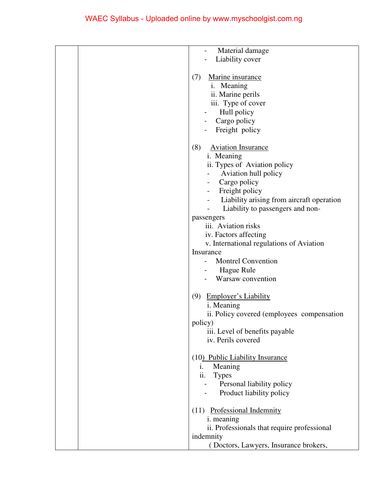| Material damage                             |
|---------------------------------------------|
| Liability cover                             |
|                                             |
| Marine insurance<br>(7)                     |
| i. Meaning                                  |
| ii. Marine perils                           |
| iii. Type of cover                          |
| Hull policy                                 |
|                                             |
| Cargo policy                                |
| Freight policy                              |
|                                             |
| (8)<br><b>Aviation Insurance</b>            |
| i. Meaning                                  |
| ii. Types of Aviation policy                |
| Aviation hull policy                        |
| Cargo policy<br>$\blacksquare$              |
| Freight policy                              |
| Liability arising from aircraft operation   |
| Liability to passengers and non-            |
| passengers                                  |
| iii. Aviation risks                         |
| iv. Factors affecting                       |
| v. International regulations of Aviation    |
| Insurance                                   |
| <b>Montrel Convention</b>                   |
| <b>Hague Rule</b>                           |
| Warsaw convention                           |
|                                             |
| (9) Employer's Liability                    |
| i. Meaning                                  |
| ii. Policy covered (employees compensation  |
|                                             |
| policy)                                     |
| iii. Level of benefits payable              |
| iv. Perils covered                          |
|                                             |
| (10) Public Liability Insurance             |
| Meaning<br>i.                               |
| ii.<br><b>Types</b>                         |
| Personal liability policy                   |
| Product liability policy                    |
| (11) Professional Indemnity                 |
| i. meaning                                  |
| ii. Professionals that require professional |
|                                             |
| indemnity                                   |
| (Doctors, Lawyers, Insurance brokers,       |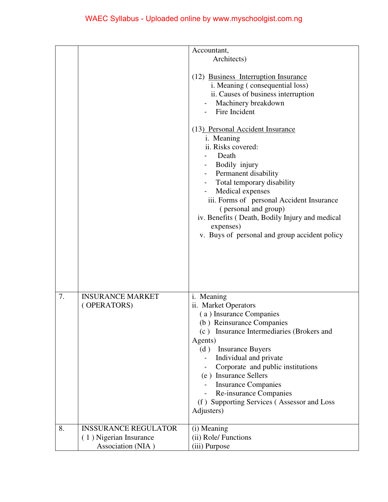|    |                             | Accountant,                                                                                                                                                                                                                                                                                                                                                   |
|----|-----------------------------|---------------------------------------------------------------------------------------------------------------------------------------------------------------------------------------------------------------------------------------------------------------------------------------------------------------------------------------------------------------|
|    |                             | Architects)                                                                                                                                                                                                                                                                                                                                                   |
|    |                             | (12) Business Interruption Insurance<br>i. Meaning (consequential loss)<br>ii. Causes of business interruption<br>Machinery breakdown<br>Fire Incident                                                                                                                                                                                                        |
|    |                             | (13) Personal Accident Insurance<br>i. Meaning<br>ii. Risks covered:<br>Death<br>Bodily injury<br>Permanent disability<br>Total temporary disability<br>Medical expenses<br>iii. Forms of personal Accident Insurance<br>(personal and group)<br>iv. Benefits (Death, Bodily Injury and medical<br>expenses)<br>v. Buys of personal and group accident policy |
| 7. | <b>INSURANCE MARKET</b>     | i. Meaning                                                                                                                                                                                                                                                                                                                                                    |
|    | (OPERATORS)                 | ii. Market Operators                                                                                                                                                                                                                                                                                                                                          |
|    |                             | (a) Insurance Companies                                                                                                                                                                                                                                                                                                                                       |
|    |                             | (b) Reinsurance Companies                                                                                                                                                                                                                                                                                                                                     |
|    |                             |                                                                                                                                                                                                                                                                                                                                                               |
|    |                             | (c) Insurance Intermediaries (Brokers and                                                                                                                                                                                                                                                                                                                     |
|    |                             | Agents)                                                                                                                                                                                                                                                                                                                                                       |
|    |                             | <b>Insurance Buyers</b><br>(d)                                                                                                                                                                                                                                                                                                                                |
|    |                             | Individual and private                                                                                                                                                                                                                                                                                                                                        |
|    |                             | Corporate and public institutions                                                                                                                                                                                                                                                                                                                             |
|    |                             | (e) Insurance Sellers                                                                                                                                                                                                                                                                                                                                         |
|    |                             | <b>Insurance Companies</b>                                                                                                                                                                                                                                                                                                                                    |
|    |                             | Re-insurance Companies                                                                                                                                                                                                                                                                                                                                        |
|    |                             | (f) Supporting Services (Assessor and Loss                                                                                                                                                                                                                                                                                                                    |
|    |                             | Adjusters)                                                                                                                                                                                                                                                                                                                                                    |
| 8. | <b>INSSURANCE REGULATOR</b> | (i) Meaning                                                                                                                                                                                                                                                                                                                                                   |
|    | (1) Nigerian Insurance      | (ii) Role/ Functions                                                                                                                                                                                                                                                                                                                                          |
|    | Association (NIA)           | (iii) Purpose                                                                                                                                                                                                                                                                                                                                                 |
|    |                             |                                                                                                                                                                                                                                                                                                                                                               |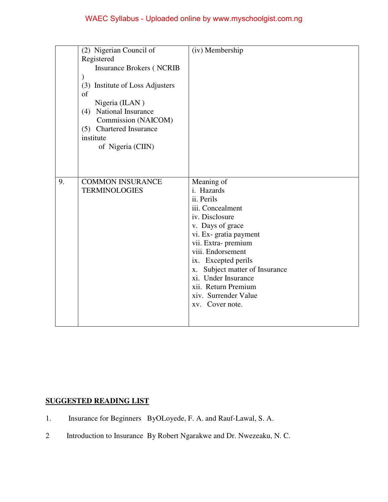|    | (2) Nigerian Council of<br>Registered<br><b>Insurance Brokers (NCRIB</b><br>$\mathcal{E}$<br>(3) Institute of Loss Adjusters<br>of<br>Nigeria (ILAN)<br><b>National Insurance</b><br>(4)<br>Commission (NAICOM)<br>(5) Chartered Insurance<br>institute<br>of Nigeria (CIIN) | (iv) Membership                                                                                                                                                                                                                                                                                                               |
|----|------------------------------------------------------------------------------------------------------------------------------------------------------------------------------------------------------------------------------------------------------------------------------|-------------------------------------------------------------------------------------------------------------------------------------------------------------------------------------------------------------------------------------------------------------------------------------------------------------------------------|
| 9. | <b>COMMON INSURANCE</b><br><b>TERMINOLOGIES</b>                                                                                                                                                                                                                              | Meaning of<br>i. Hazards<br>ii. Perils<br>iii. Concealment<br>iv. Disclosure<br>v. Days of grace<br>vi. Ex-gratia payment<br>vii. Extra- premium<br>viii. Endorsement<br>ix. Excepted perils<br>Subject matter of Insurance<br>X.<br>xi. Under Insurance<br>xii. Return Premium<br>xiv. Surrender Value<br>Cover note.<br>XV. |

### **SUGGESTED READING LIST**

- 1. Insurance for Beginners ByOLoyede, F. A. and Rauf-Lawal, S. A.
- 2 Introduction to Insurance By Robert Ngarakwe and Dr. Nwezeaku, N. C.